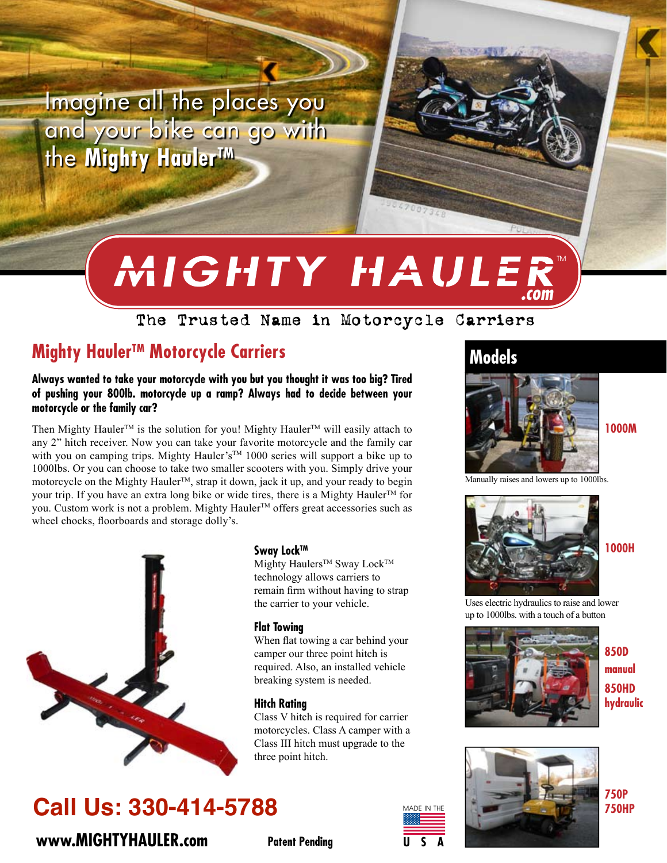Imagine all the places you and your bike can go with the Mighty Hauler<sup>TM</sup>

# MIGHTY HAULER

# The Trusted Name in Motorcycle Carriers

# Mighty Hauler<sup>™</sup> Motorcycle Carriers

#### Always wanted to take your motorcycle with you but you thought it was too big? Tired of pushing your 800lb. motorcycle up a ramp? Always had to decide between your motorcycle or the family car?

Then Mighty Hauler<sup>™</sup> is the solution for you! Mighty Hauler<sup>™</sup> will easily attach to any 2" hitch receiver. Now you can take your favorite motorcycle and the family car with you on camping trips. Mighty Hauler's™ 1000 series will support a bike up to 1000lbs. Or you can choose to take two smaller scooters with you. Simply drive your motorcycle on the Mighty Hauler™, strap it down, jack it up, and your ready to begin your trip. If you have an extra long bike or wide tires, there is a Mighty Hauler™ for you. Custom work is not a problem. Mighty Hauler™ offers great accessories such as wheel chocks, floorboards and storage dolly's.



# **Call Us: 330-414-5788**

www.MIGHTYHAULER.com

#### Sway Lock™

Mighty Haulers<sup>™</sup> Sway Lock™ technology allows carriers to remain firm without having to strap the carrier to your vehicle.

#### **Flat Towing**

When flat towing a car behind your camper our three point hitch is required. Also, an installed vehicle breaking system is needed.

#### **Hitch Ratina**

Class V hitch is required for carrier motorcycles. Class A camper with a Class III hitch must upgrade to the three point hitch.

# **Models**





**1000H** 

1000M

Uses electric hydraulics to raise and lower up to 1000lbs. with a touch of a button



**850D** manual **850HD** hydraulic



**750P 750HP** 

**Patent Pending**